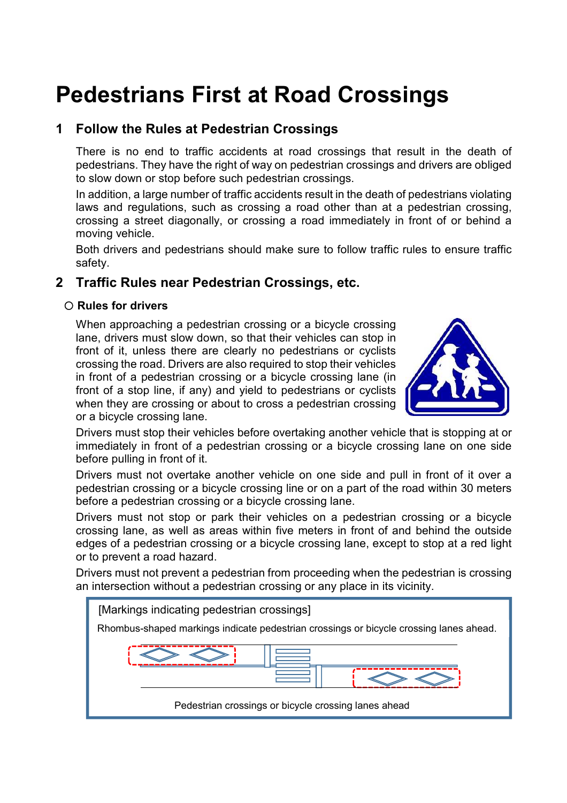# **Pedestrians First at Road Crossings**

## **1 Follow the Rules at Pedestrian Crossings**

There is no end to traffic accidents at road crossings that result in the death of pedestrians. They have the right of way on pedestrian crossings and drivers are obliged to slow down or stop before such pedestrian crossings.

In addition, a large number of traffic accidents result in the death of pedestrians violating laws and regulations, such as crossing a road other than at a pedestrian crossing, crossing a street diagonally, or crossing a road immediately in front of or behind a moving vehicle.

Both drivers and pedestrians should make sure to follow traffic rules to ensure traffic safety.

### **2 Traffic Rules near Pedestrian Crossings, etc.**

#### **Rules for drivers**

When approaching a pedestrian crossing or a bicycle crossing lane, drivers must slow down, so that their vehicles can stop in front of it, unless there are clearly no pedestrians or cyclists crossing the road. Drivers are also required to stop their vehicles in front of a pedestrian crossing or a bicycle crossing lane (in front of a stop line, if any) and yield to pedestrians or cyclists when they are crossing or about to cross a pedestrian crossing or a bicycle crossing lane.



Drivers must stop their vehicles before overtaking another vehicle that is stopping at or immediately in front of a pedestrian crossing or a bicycle crossing lane on one side before pulling in front of it.

Drivers must not overtake another vehicle on one side and pull in front of it over a pedestrian crossing or a bicycle crossing line or on a part of the road within 30 meters before a pedestrian crossing or a bicycle crossing lane.

Drivers must not stop or park their vehicles on a pedestrian crossing or a bicycle crossing lane, as well as areas within five meters in front of and behind the outside edges of a pedestrian crossing or a bicycle crossing lane, except to stop at a red light or to prevent a road hazard.

Drivers must not prevent a pedestrian from proceeding when the pedestrian is crossing an intersection without a pedestrian crossing or any place in its vicinity.